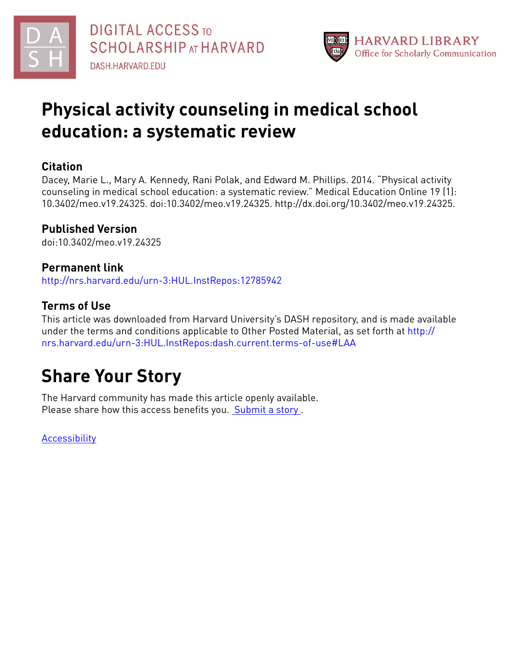



# **Physical activity counseling in medical school education: a systematic review**

## **Citation**

Dacey, Marie L., Mary A. Kennedy, Rani Polak, and Edward M. Phillips. 2014. "Physical activity counseling in medical school education: a systematic review." Medical Education Online 19 (1): 10.3402/meo.v19.24325. doi:10.3402/meo.v19.24325. http://dx.doi.org/10.3402/meo.v19.24325.

## **Published Version**

doi:10.3402/meo.v19.24325

## **Permanent link**

<http://nrs.harvard.edu/urn-3:HUL.InstRepos:12785942>

## **Terms of Use**

This article was downloaded from Harvard University's DASH repository, and is made available under the terms and conditions applicable to Other Posted Material, as set forth at [http://](http://nrs.harvard.edu/urn-3:HUL.InstRepos:dash.current.terms-of-use#LAA) [nrs.harvard.edu/urn-3:HUL.InstRepos:dash.current.terms-of-use#LAA](http://nrs.harvard.edu/urn-3:HUL.InstRepos:dash.current.terms-of-use#LAA)

# **Share Your Story**

The Harvard community has made this article openly available. Please share how this access benefits you. [Submit](http://osc.hul.harvard.edu/dash/open-access-feedback?handle=&title=Physical%20activity%20counseling%20in%20medical%20school%20education:%20a%20systematic%20review&community=1/4454685&collection=1/4454686&owningCollection1/4454686&harvardAuthors=41af4b2b243bc1628dfffec76c1abd73&department) a story .

**[Accessibility](https://dash.harvard.edu/pages/accessibility)**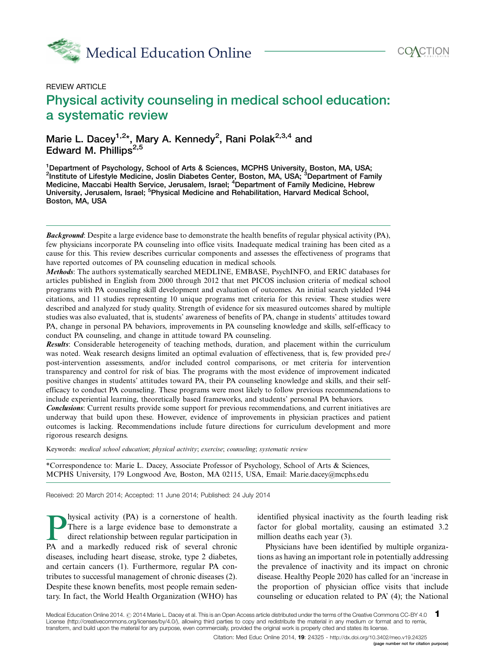

#### REVIEW ARTICLE

## Physical activity counseling in medical school education: a systematic review

### Marie L. Dacey<sup>1,2</sup>\*, Mary A. Kennedy<sup>2</sup>, Rani Polak<sup>2,3,4</sup> and Edward M. Phillips $^{2,5}$

<sup>1</sup>Department of Psychology, School of Arts & Sciences, MCPHS University, Boston, MA, USA;<br><sup>2</sup>Institute of Lifestyle Medicine, Joslin Diabetes Center, Boston, MA, USA; <sup>3</sup>Department of Family<br>Medicine, Maccabi Health Servi University, Jerusalem, Israel; <sup>5</sup>Physical Medicine and Rehabilitation, Harvard Medical School, Boston, MA, USA

Background: Despite a large evidence base to demonstrate the health benefits of regular physical activity (PA), few physicians incorporate PA counseling into office visits. Inadequate medical training has been cited as a cause for this. This review describes curricular components and assesses the effectiveness of programs that have reported outcomes of PA counseling education in medical schools.

Methods: The authors systematically searched MEDLINE, EMBASE, PsychINFO, and ERIC databases for articles published in English from 2000 through 2012 that met PICOS inclusion criteria of medical school programs with PA counseling skill development and evaluation of outcomes. An initial search yielded 1944 citations, and 11 studies representing 10 unique programs met criteria for this review. These studies were described and analyzed for study quality. Strength of evidence for six measured outcomes shared by multiple studies was also evaluated, that is, students' awareness of benefits of PA, change in students' attitudes toward PA, change in personal PA behaviors, improvements in PA counseling knowledge and skills, self-efficacy to conduct PA counseling, and change in attitude toward PA counseling.

Results: Considerable heterogeneity of teaching methods, duration, and placement within the curriculum was noted. Weak research designs limited an optimal evaluation of effectiveness, that is, few provided pre-/ post-intervention assessments, and/or included control comparisons, or met criteria for intervention transparency and control for risk of bias. The programs with the most evidence of improvement indicated positive changes in students' attitudes toward PA, their PA counseling knowledge and skills, and their selfefficacy to conduct PA counseling. These programs were most likely to follow previous recommendations to include experiential learning, theoretically based frameworks, and students' personal PA behaviors.

Conclusions: Current results provide some support for previous recommendations, and current initiatives are underway that build upon these. However, evidence of improvements in physician practices and patient outcomes is lacking. Recommendations include future directions for curriculum development and more rigorous research designs.

Keywords: medical school education; physical activity; exercise; counseling; systematic review

\*Correspondence to: Marie L. Dacey, Associate Professor of Psychology, School of Arts & Sciences, MCPHS University, 179 Longwood Ave, Boston, MA 02115, USA, Email: Marie.dacey@mcphs.edu

Received: 20 March 2014; Accepted: 11 June 2014; Published: 24 July 2014

**Physical activity (PA) is a cornerstone of health.**<br>There is a large evidence base to demonstrate a direct relationship between regular participation in<br>PA and a markedly reduced risk of several chronic There is a large evidence base to demonstrate a direct relationship between regular participation in PA and a markedly reduced risk of several chronic diseases, including heart disease, stroke, type 2 diabetes, and certain cancers (1). Furthermore, regular PA contributes to successful management of chronic diseases (2). Despite these known benefits, most people remain sedentary. In fact, the World Health Organization (WHO) has identified physical inactivity as the fourth leading risk factor for global mortality, causing an estimated 3.2 million deaths each year (3).

Physicians have been identified by multiple organizations as having an important role in potentially addressing the prevalence of inactivity and its impact on chronic disease. Healthy People 2020 has called for an 'increase in the proportion of physician office visits that include counseling or education related to PA' (4); the National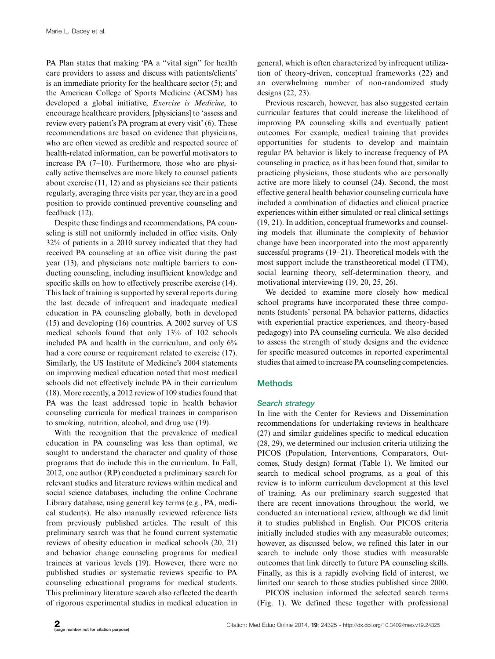PA Plan states that making 'PA a ''vital sign'' for health care providers to assess and discuss with patients/clients' is an immediate priority for the healthcare sector (5); and the American College of Sports Medicine (ACSM) has developed a global initiative, Exercise is Medicine, to encourage healthcare providers, [physicians] to 'assess and review every patient's PA program at every visit' (6). These recommendations are based on evidence that physicians, who are often viewed as credible and respected source of health-related information, can be powerful motivators to increase PA (7-10). Furthermore, those who are physically active themselves are more likely to counsel patients about exercise (11, 12) and as physicians see their patients regularly, averaging three visits per year, they are in a good position to provide continued preventive counseling and feedback (12).

Despite these findings and recommendations, PA counseling is still not uniformly included in office visits. Only 32% of patients in a 2010 survey indicated that they had received PA counseling at an office visit during the past year (13), and physicians note multiple barriers to conducting counseling, including insufficient knowledge and specific skills on how to effectively prescribe exercise (14). This lack of training is supported by several reports during the last decade of infrequent and inadequate medical education in PA counseling globally, both in developed (15) and developing (16) countries. A 2002 survey of US medical schools found that only 13% of 102 schools included PA and health in the curriculum, and only 6% had a core course or requirement related to exercise (17). Similarly, the US Institute of Medicine's 2004 statements on improving medical education noted that most medical schools did not effectively include PA in their curriculum (18). More recently, a 2012 review of 109 studies found that PA was the least addressed topic in health behavior counseling curricula for medical trainees in comparison to smoking, nutrition, alcohol, and drug use (19).

With the recognition that the prevalence of medical education in PA counseling was less than optimal, we sought to understand the character and quality of those programs that do include this in the curriculum. In Fall, 2012, one author (RP) conducted a preliminary search for relevant studies and literature reviews within medical and social science databases, including the online Cochrane Library database, using general key terms (e.g., PA, medical students). He also manually reviewed reference lists from previously published articles. The result of this preliminary search was that he found current systematic reviews of obesity education in medical schools (20, 21) and behavior change counseling programs for medical trainees at various levels (19). However, there were no published studies or systematic reviews specific to PA counseling educational programs for medical students. This preliminary literature search also reflected the dearth of rigorous experimental studies in medical education in

general, which is often characterized by infrequent utilization of theory-driven, conceptual frameworks (22) and an overwhelming number of non-randomized study designs (22, 23).

Previous research, however, has also suggested certain curricular features that could increase the likelihood of improving PA counseling skills and eventually patient outcomes. For example, medical training that provides opportunities for students to develop and maintain regular PA behavior is likely to increase frequency of PA counseling in practice, as it has been found that, similar to practicing physicians, those students who are personally active are more likely to counsel (24). Second, the most effective general health behavior counseling curricula have included a combination of didactics and clinical practice experiences within either simulated or real clinical settings (19, 21). In addition, conceptual frameworks and counseling models that illuminate the complexity of behavior change have been incorporated into the most apparently successful programs (19-21). Theoretical models with the most support include the transtheoretical model (TTM), social learning theory, self-determination theory, and motivational interviewing (19, 20, 25, 26).

We decided to examine more closely how medical school programs have incorporated these three components (students' personal PA behavior patterns, didactics with experiential practice experiences, and theory-based pedagogy) into PA counseling curricula. We also decided to assess the strength of study designs and the evidence for specific measured outcomes in reported experimental studies that aimed to increase PA counseling competencies.

### **Methods**

#### Search strategy

In line with the Center for Reviews and Dissemination recommendations for undertaking reviews in healthcare (27) and similar guidelines specific to medical education (28, 29), we determined our inclusion criteria utilizing the PICOS (Population, Interventions, Comparators, Outcomes, Study design) format (Table 1). We limited our search to medical school programs, as a goal of this review is to inform curriculum development at this level of training. As our preliminary search suggested that there are recent innovations throughout the world, we conducted an international review, although we did limit it to studies published in English. Our PICOS criteria initially included studies with any measurable outcomes; however, as discussed below, we refined this later in our search to include only those studies with measurable outcomes that link directly to future PA counseling skills. Finally, as this is a rapidly evolving field of interest, we limited our search to those studies published since 2000.

PICOS inclusion informed the selected search terms (Fig. 1). We defined these together with professional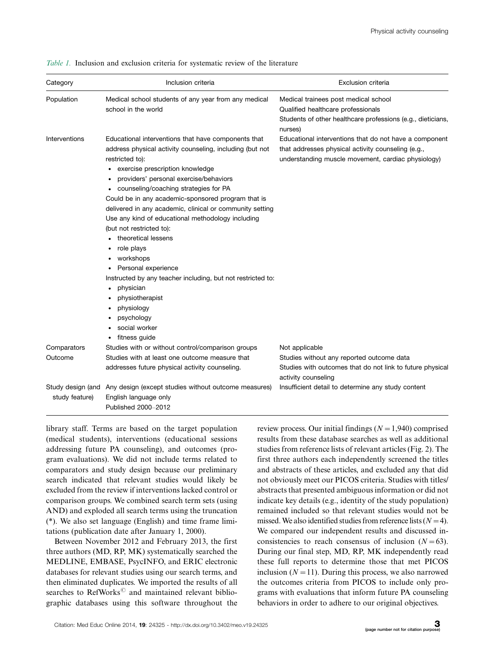| Category                            | Inclusion criteria                                                                                                                                                                                                                                                                                                                                                                                                                                                                                                                                                                                                                                                                                         | Exclusion criteria                                                                                                                                                 |
|-------------------------------------|------------------------------------------------------------------------------------------------------------------------------------------------------------------------------------------------------------------------------------------------------------------------------------------------------------------------------------------------------------------------------------------------------------------------------------------------------------------------------------------------------------------------------------------------------------------------------------------------------------------------------------------------------------------------------------------------------------|--------------------------------------------------------------------------------------------------------------------------------------------------------------------|
| Population                          | Medical school students of any year from any medical<br>school in the world                                                                                                                                                                                                                                                                                                                                                                                                                                                                                                                                                                                                                                | Medical trainees post medical school<br>Qualified healthcare professionals<br>Students of other healthcare professions (e.g., dieticians,<br>nurses)               |
| Interventions                       | Educational interventions that have components that<br>address physical activity counseling, including (but not<br>restricted to):<br>• exercise prescription knowledge<br>providers' personal exercise/behaviors<br>• counseling/coaching strategies for PA<br>Could be in any academic-sponsored program that is<br>delivered in any academic, clinical or community setting<br>Use any kind of educational methodology including<br>(but not restricted to):<br>theoretical lessens<br>role plays<br>workshops<br>Personal experience<br>Instructed by any teacher including, but not restricted to:<br>physician<br>٠<br>physiotherapist<br>physiology<br>psychology<br>social worker<br>fitness guide | Educational interventions that do not have a component<br>that addresses physical activity counseling (e.g.,<br>understanding muscle movement, cardiac physiology) |
| Comparators<br>Outcome              | Studies with or without control/comparison groups<br>Studies with at least one outcome measure that<br>addresses future physical activity counseling.                                                                                                                                                                                                                                                                                                                                                                                                                                                                                                                                                      | Not applicable<br>Studies without any reported outcome data<br>Studies with outcomes that do not link to future physical<br>activity counseling                    |
| Study design (and<br>study feature) | Any design (except studies without outcome measures)<br>English language only<br>Published 2000-2012                                                                                                                                                                                                                                                                                                                                                                                                                                                                                                                                                                                                       | Insufficient detail to determine any study content                                                                                                                 |

Table 1. Inclusion and exclusion criteria for systematic review of the literature

library staff. Terms are based on the target population (medical students), interventions (educational sessions addressing future PA counseling), and outcomes (program evaluations). We did not include terms related to comparators and study design because our preliminary search indicated that relevant studies would likely be excluded from the review if interventions lacked control or comparison groups. We combined search term sets (using AND) and exploded all search terms using the truncation (\*). We also set language (English) and time frame limitations (publication date after January 1, 2000).

Between November 2012 and February 2013, the first three authors (MD, RP, MK) systematically searched the MEDLINE, EMBASE, PsycINFO, and ERIC electronic databases for relevant studies using our search terms, and then eliminated duplicates. We imported the results of all searches to RefWorks<sup>©</sup> and maintained relevant bibliographic databases using this software throughout the review process. Our initial findings  $(N=1,940)$  comprised results from these database searches as well as additional studies from reference lists of relevant articles (Fig. 2). The first three authors each independently screened the titles and abstracts of these articles, and excluded any that did not obviously meet our PICOS criteria. Studies with titles/ abstracts that presented ambiguous information or did not indicate key details (e.g., identity of the study population) remained included so that relevant studies would not be missed. We also identified studies from reference lists  $(N=4)$ . We compared our independent results and discussed inconsistencies to reach consensus of inclusion  $(N=63)$ . During our final step, MD, RP, MK independently read these full reports to determine those that met PICOS inclusion  $(N=11)$ . During this process, we also narrowed the outcomes criteria from PICOS to include only programs with evaluations that inform future PA counseling behaviors in order to adhere to our original objectives.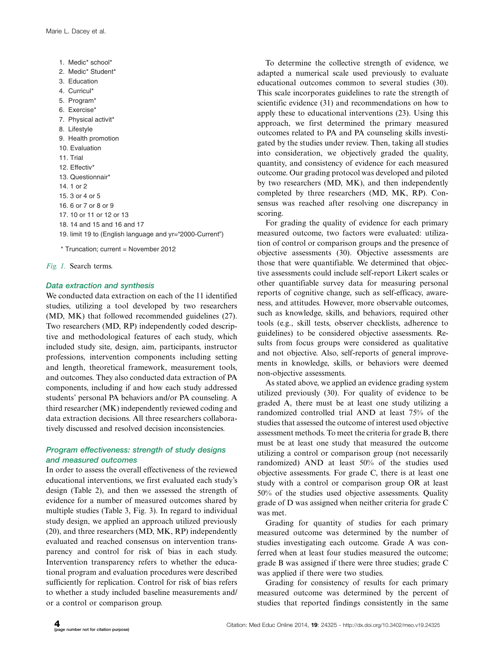1. Medic\* school\* 2. Medic\* Student\* 3. Education 4. Curricul\* 5. Program\* 6. Exercise\* 7. Physical activit\* 8. Lifestyle 9. Health promotion 10. Evaluation 11. Trial 12. Effectiv\* 13. Questionnair\* 14. 1 or 2 15. 3 or 4 or 5 16. 6 or 7 or 8 or 9 17. 10 or 11 or 12 or 13 18. 14 and 15 and 16 and 17 19. limit 19 to (English language and yr="2000-Current") \* Truncation; current = November 2012

Fig. 1. Search terms.

#### Data extraction and synthesis

We conducted data extraction on each of the 11 identified studies, utilizing a tool developed by two researchers (MD, MK) that followed recommended guidelines (27). Two researchers (MD, RP) independently coded descriptive and methodological features of each study, which included study site, design, aim, participants, instructor professions, intervention components including setting and length, theoretical framework, measurement tools, and outcomes. They also conducted data extraction of PA components, including if and how each study addressed students' personal PA behaviors and/or PA counseling. A third researcher (MK) independently reviewed coding and data extraction decisions. All three researchers collaboratively discussed and resolved decision inconsistencies.

#### Program effectiveness: strength of study designs and measured outcomes

In order to assess the overall effectiveness of the reviewed educational interventions, we first evaluated each study's design (Table 2), and then we assessed the strength of evidence for a number of measured outcomes shared by multiple studies (Table 3, Fig. 3). In regard to individual study design, we applied an approach utilized previously (20), and three researchers (MD, MK, RP) independently evaluated and reached consensus on intervention transparency and control for risk of bias in each study. Intervention transparency refers to whether the educational program and evaluation procedures were described sufficiently for replication. Control for risk of bias refers to whether a study included baseline measurements and/ or a control or comparison group.

To determine the collective strength of evidence, we adapted a numerical scale used previously to evaluate educational outcomes common to several studies (30). This scale incorporates guidelines to rate the strength of scientific evidence (31) and recommendations on how to apply these to educational interventions (23). Using this approach, we first determined the primary measured outcomes related to PA and PA counseling skills investigated by the studies under review. Then, taking all studies into consideration, we objectively graded the quality, quantity, and consistency of evidence for each measured outcome. Our grading protocol was developed and piloted by two researchers (MD, MK), and then independently completed by three researchers (MD, MK, RP). Consensus was reached after resolving one discrepancy in scoring.

For grading the quality of evidence for each primary measured outcome, two factors were evaluated: utilization of control or comparison groups and the presence of objective assessments (30). Objective assessments are those that were quantifiable. We determined that objective assessments could include self-report Likert scales or other quantifiable survey data for measuring personal reports of cognitive change, such as self-efficacy, awareness, and attitudes. However, more observable outcomes, such as knowledge, skills, and behaviors, required other tools (e.g., skill tests, observer checklists, adherence to guidelines) to be considered objective assessments. Results from focus groups were considered as qualitative and not objective. Also, self-reports of general improvements in knowledge, skills, or behaviors were deemed non-objective assessments.

As stated above, we applied an evidence grading system utilized previously (30). For quality of evidence to be graded A, there must be at least one study utilizing a randomized controlled trial AND at least 75% of the studies that assessed the outcome of interest used objective assessment methods. To meet the criteria for grade B, there must be at least one study that measured the outcome utilizing a control or comparison group (not necessarily randomized) AND at least 50% of the studies used objective assessments. For grade C, there is at least one study with a control or comparison group OR at least 50% of the studies used objective assessments. Quality grade of D was assigned when neither criteria for grade C was met.

Grading for quantity of studies for each primary measured outcome was determined by the number of studies investigating each outcome. Grade A was conferred when at least four studies measured the outcome; grade B was assigned if there were three studies; grade C was applied if there were two studies.

Grading for consistency of results for each primary measured outcome was determined by the percent of studies that reported findings consistently in the same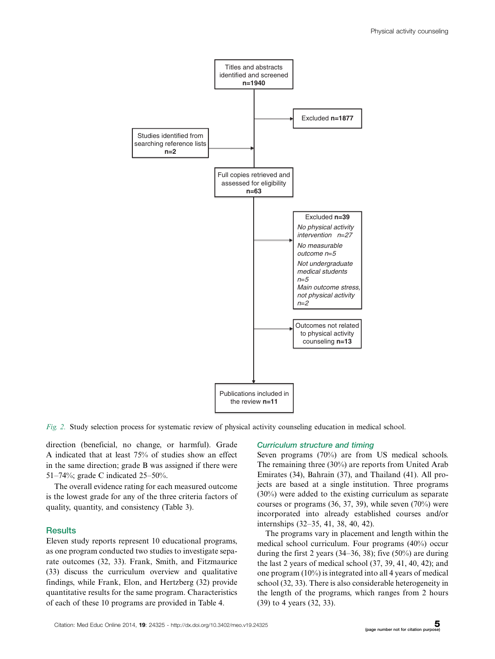

Fig. 2. Study selection process for systematic review of physical activity counseling education in medical school.

direction (beneficial, no change, or harmful). Grade A indicated that at least 75% of studies show an effect in the same direction; grade B was assigned if there were 51-74%; grade C indicated 25-50%.

The overall evidence rating for each measured outcome is the lowest grade for any of the three criteria factors of quality, quantity, and consistency (Table 3).

#### **Results**

Eleven study reports represent 10 educational programs, as one program conducted two studies to investigate separate outcomes (32, 33). Frank, Smith, and Fitzmaurice (33) discuss the curriculum overview and qualitative findings, while Frank, Elon, and Hertzberg (32) provide quantitative results for the same program. Characteristics of each of these 10 programs are provided in Table 4.

#### Curriculum structure and timing

Seven programs (70%) are from US medical schools. The remaining three (30%) are reports from United Arab Emirates (34), Bahrain (37), and Thailand (41). All projects are based at a single institution. Three programs (30%) were added to the existing curriculum as separate courses or programs  $(36, 37, 39)$ , while seven  $(70\%)$  were incorporated into already established courses and/or internships (32-35, 41, 38, 40, 42).

The programs vary in placement and length within the medical school curriculum. Four programs (40%) occur during the first 2 years (34-36, 38); five (50%) are during the last 2 years of medical school (37, 39, 41, 40, 42); and one program (10%) is integrated into all 4 years of medical school (32, 33). There is also considerable heterogeneity in the length of the programs, which ranges from 2 hours (39) to 4 years (32, 33).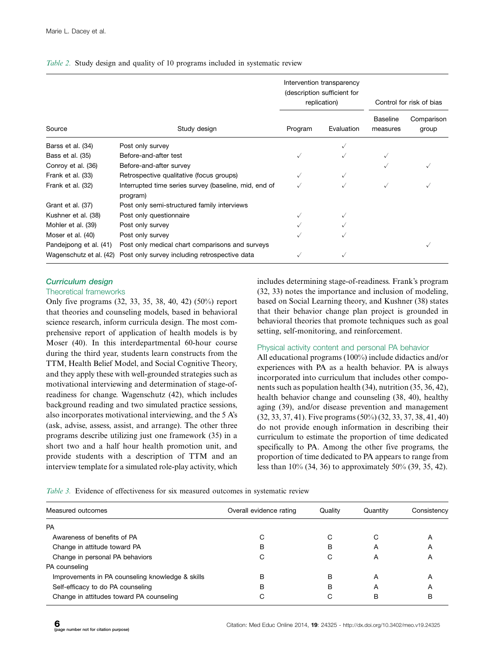| Table 2. Study design and quality of 10 programs included in systematic review |  |  |  |  |  |  |  |  |  |  |  |  |  |
|--------------------------------------------------------------------------------|--|--|--|--|--|--|--|--|--|--|--|--|--|
|--------------------------------------------------------------------------------|--|--|--|--|--|--|--|--|--|--|--|--|--|

|                         |                                                                   |         | Intervention transparency<br>(description sufficient for<br>replication) |                             | Control for risk of bias |
|-------------------------|-------------------------------------------------------------------|---------|--------------------------------------------------------------------------|-----------------------------|--------------------------|
| Source                  | Study design                                                      | Program | Evaluation                                                               | <b>Baseline</b><br>measures | Comparison<br>group      |
| Barss et al. (34)       | Post only survey                                                  |         |                                                                          |                             |                          |
| Bass et al. (35)        | Before-and-after test                                             |         |                                                                          |                             |                          |
| Conroy et al. (36)      | Before-and-after survey                                           |         |                                                                          |                             |                          |
| Frank et al. (33)       | Retrospective qualitative (focus groups)                          |         |                                                                          |                             |                          |
| Frank et al. (32)       | Interrupted time series survey (baseline, mid, end of<br>program) |         |                                                                          |                             |                          |
| Grant et al. (37)       | Post only semi-structured family interviews                       |         |                                                                          |                             |                          |
| Kushner et al. (38)     | Post only questionnaire                                           |         |                                                                          |                             |                          |
| Mohler et al. (39)      | Post only survey                                                  |         |                                                                          |                             |                          |
| Moser et al. (40)       | Post only survey                                                  |         |                                                                          |                             |                          |
| Pandejpong et al. (41)  | Post only medical chart comparisons and surveys                   |         |                                                                          |                             |                          |
| Wagenschutz et al. (42) | Post only survey including retrospective data                     |         | $\checkmark$                                                             |                             |                          |

#### Curriculum design

#### Theoretical frameworks

Only five programs (32, 33, 35, 38, 40, 42) (50%) report that theories and counseling models, based in behavioral science research, inform curricula design. The most comprehensive report of application of health models is by Moser (40). In this interdepartmental 60-hour course during the third year, students learn constructs from the TTM, Health Belief Model, and Social Cognitive Theory, and they apply these with well-grounded strategies such as motivational interviewing and determination of stage-ofreadiness for change. Wagenschutz (42), which includes background reading and two simulated practice sessions, also incorporates motivational interviewing, and the 5 A's (ask, advise, assess, assist, and arrange). The other three programs describe utilizing just one framework (35) in a short two and a half hour health promotion unit, and provide students with a description of TTM and an interview template for a simulated role-play activity, which includes determining stage-of-readiness. Frank's program (32, 33) notes the importance and inclusion of modeling, based on Social Learning theory, and Kushner (38) states that their behavior change plan project is grounded in behavioral theories that promote techniques such as goal setting, self-monitoring, and reinforcement.

#### Physical activity content and personal PA behavior

All educational programs (100%) include didactics and/or experiences with PA as a health behavior. PA is always incorporated into curriculum that includes other components such as population health (34), nutrition (35, 36, 42), health behavior change and counseling (38, 40), healthy aging (39), and/or disease prevention and management (32, 33, 37, 41). Five programs (50%) (32, 33, 37, 38, 41, 40) do not provide enough information in describing their curriculum to estimate the proportion of time dedicated specifically to PA. Among the other five programs, the proportion of time dedicated to PA appears to range from less than 10% (34, 36) to approximately 50% (39, 35, 42).

|  | <i>Table 3.</i> Evidence of effectiveness for six measured outcomes in systematic review |  |  |  |  |
|--|------------------------------------------------------------------------------------------|--|--|--|--|
|  |                                                                                          |  |  |  |  |

| Measured outcomes                                | Overall evidence rating | Quality | Quantity | Consistency |  |
|--------------------------------------------------|-------------------------|---------|----------|-------------|--|
|                                                  |                         |         |          |             |  |
| <b>PA</b>                                        |                         |         |          |             |  |
| Awareness of benefits of PA                      | С                       |         | С        | A           |  |
| Change in attitude toward PA                     | в                       | в       | Α        | A           |  |
| Change in personal PA behaviors                  | С                       | C       | А        | А           |  |
| PA counseling                                    |                         |         |          |             |  |
| Improvements in PA counseling knowledge & skills | в                       | в       | A        | А           |  |
| Self-efficacy to do PA counseling                | в                       | в       | Α        | A           |  |
| Change in attitudes toward PA counseling         | С                       |         | в        | в           |  |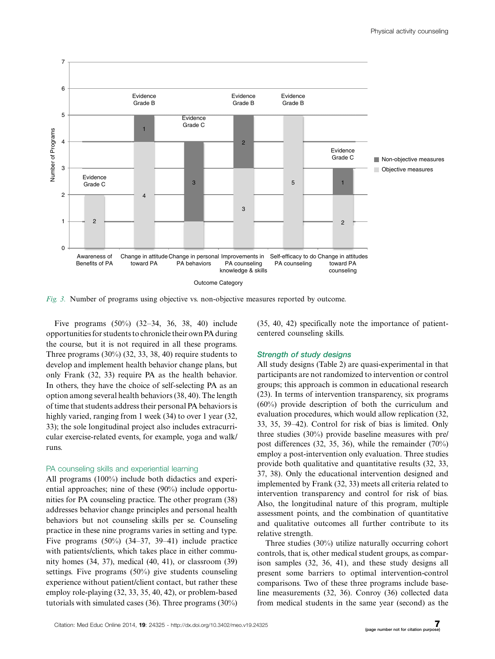

Fig. 3. Number of programs using objective vs. non-objective measures reported by outcome.

Five programs (50%) (32-34, 36, 38, 40) include opportunities for students to chronicle their own PA during the course, but it is not required in all these programs. Three programs (30%) (32, 33, 38, 40) require students to develop and implement health behavior change plans, but only Frank (32, 33) require PA as the health behavior. In others, they have the choice of self-selecting PA as an option among several health behaviors (38, 40). The length of time that students address their personal PA behaviors is highly varied, ranging from 1 week (34) to over 1 year (32, 33); the sole longitudinal project also includes extracurricular exercise-related events, for example, yoga and walk/ runs.

#### PA counseling skills and experiential learning

All programs (100%) include both didactics and experiential approaches; nine of these (90%) include opportunities for PA counseling practice. The other program (38) addresses behavior change principles and personal health behaviors but not counseling skills per se. Counseling practice in these nine programs varies in setting and type. Five programs (50%) (34-37, 39-41) include practice with patients/clients, which takes place in either community homes (34, 37), medical (40, 41), or classroom (39) settings. Five programs (50%) give students counseling experience without patient/client contact, but rather these employ role-playing (32, 33, 35, 40, 42), or problem-based tutorials with simulated cases (36). Three programs (30%)

(35, 40, 42) specifically note the importance of patientcentered counseling skills.

#### Strength of study designs

All study designs (Table 2) are quasi-experimental in that participants are not randomized to intervention or control groups; this approach is common in educational research (23). In terms of intervention transparency, six programs (60%) provide description of both the curriculum and evaluation procedures, which would allow replication (32, 33, 35, 39-42). Control for risk of bias is limited. Only three studies (30%) provide baseline measures with pre/ post differences (32, 35, 36), while the remainder (70%) employ a post-intervention only evaluation. Three studies provide both qualitative and quantitative results (32, 33, 37, 38). Only the educational intervention designed and implemented by Frank (32, 33) meets all criteria related to intervention transparency and control for risk of bias. Also, the longitudinal nature of this program, multiple assessment points, and the combination of quantitative and qualitative outcomes all further contribute to its relative strength.

Three studies (30%) utilize naturally occurring cohort controls, that is, other medical student groups, as comparison samples (32, 36, 41), and these study designs all present some barriers to optimal intervention-control comparisons. Two of these three programs include baseline measurements (32, 36). Conroy (36) collected data from medical students in the same year (second) as the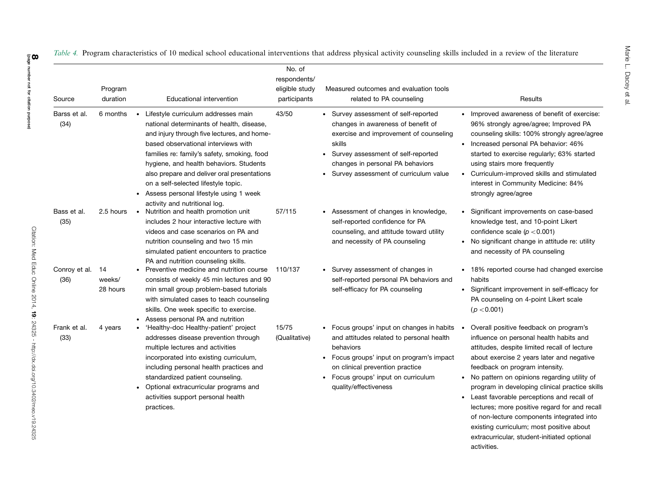| Source                | Program<br>duration      | Educational intervention                                                                                                                                                                                                                                                                                                                                                                           | No. of<br>respondents/<br>eligible study<br>participants | Measured outcomes and evaluation tools<br>related to PA counseling                                                                                                                                                                                    | Results                                                                                                                                                                                                                                                                                                                                                                                                                                                                                                    |
|-----------------------|--------------------------|----------------------------------------------------------------------------------------------------------------------------------------------------------------------------------------------------------------------------------------------------------------------------------------------------------------------------------------------------------------------------------------------------|----------------------------------------------------------|-------------------------------------------------------------------------------------------------------------------------------------------------------------------------------------------------------------------------------------------------------|------------------------------------------------------------------------------------------------------------------------------------------------------------------------------------------------------------------------------------------------------------------------------------------------------------------------------------------------------------------------------------------------------------------------------------------------------------------------------------------------------------|
| Barss et al.<br>(34)  | 6 months                 | Lifestyle curriculum addresses main<br>national determinants of health, disease,<br>and injury through five lectures, and home-<br>based observational interviews with<br>families re: family's safety, smoking, food<br>hygiene, and health behaviors. Students<br>also prepare and deliver oral presentations<br>on a self-selected lifestyle topic.<br>• Assess personal lifestyle using 1 week | 43/50                                                    | • Survey assessment of self-reported<br>changes in awareness of benefit of<br>exercise and improvement of counseling<br>skills<br>• Survey assessment of self-reported<br>changes in personal PA behaviors<br>• Survey assessment of curriculum value | • Improved awareness of benefit of exercise:<br>96% strongly agree/agree; Improved PA<br>counseling skills: 100% strongly agree/agree<br>• Increased personal PA behavior: 46%<br>started to exercise regularly; 63% started<br>using stairs more frequently<br>• Curriculum-improved skills and stimulated<br>interest in Community Medicine: 84%<br>strongly agree/agree                                                                                                                                 |
| Bass et al.<br>(35)   | 2.5 hours                | activity and nutritional log.<br>• Nutrition and health promotion unit<br>includes 2 hour interactive lecture with<br>videos and case scenarios on PA and<br>nutrition counseling and two 15 min<br>simulated patient encounters to practice                                                                                                                                                       | 57/115                                                   | • Assessment of changes in knowledge,<br>self-reported confidence for PA<br>counseling, and attitude toward utility<br>and necessity of PA counseling                                                                                                 | Significant improvements on case-based<br>knowledge test, and 10-point Likert<br>confidence scale ( $p < 0.001$ )<br>• No significant change in attitude re: utility<br>and necessity of PA counseling                                                                                                                                                                                                                                                                                                     |
| Conroy et al.<br>(36) | 14<br>weeks/<br>28 hours | PA and nutrition counseling skills.<br>Preventive medicine and nutrition course<br>consists of weekly 45 min lectures and 90<br>min small group problem-based tutorials<br>with simulated cases to teach counseling<br>skills. One week specific to exercise.                                                                                                                                      | 110/137                                                  | • Survey assessment of changes in<br>self-reported personal PA behaviors and<br>self-efficacy for PA counseling                                                                                                                                       | 18% reported course had changed exercise<br>habits<br>Significant improvement in self-efficacy for<br>PA counseling on 4-point Likert scale<br>(p < 0.001)                                                                                                                                                                                                                                                                                                                                                 |
| Frank et al.<br>(33)  | 4 years                  | Assess personal PA and nutrition<br>'Healthy-doc Healthy-patient' project<br>addresses disease prevention through<br>multiple lectures and activities<br>incorporated into existing curriculum,<br>including personal health practices and<br>standardized patient counseling.<br>Optional extracurricular programs and<br>activities support personal health<br>practices.                        | 15/75<br>(Qualitative)                                   | • Focus groups' input on changes in habits<br>and attitudes related to personal health<br>behaviors<br>• Focus groups' input on program's impact<br>on clinical prevention practice<br>• Focus groups' input on curriculum<br>quality/effectiveness   | Overall positive feedback on program's<br>influence on personal health habits and<br>attitudes, despite limited recall of lecture<br>about exercise 2 years later and negative<br>feedback on program intensity.<br>No pattern on opinions regarding utility of<br>program in developing clinical practice skills<br>• Least favorable perceptions and recall of<br>lectures; more positive regard for and recall<br>of non-lecture components integrated into<br>existing curriculum; most positive about |

Table 4. Program characteristics of 10 medical school educational interventions that address physical activity counseling skills included in a review of the literature

extracurricular, student-initiated optional

activities.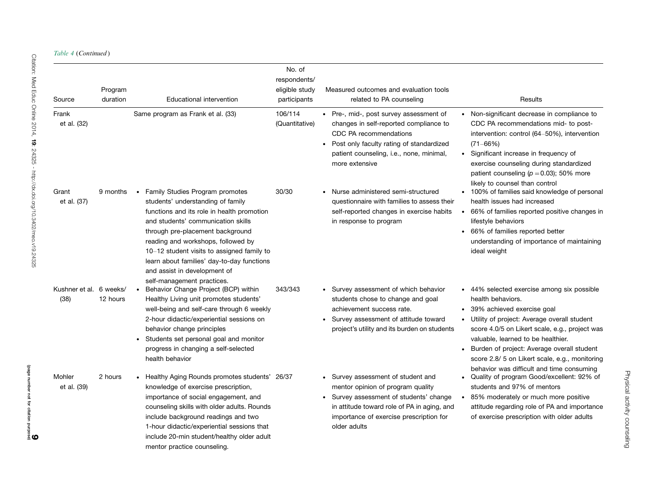|  | Table 4 (Continued) |
|--|---------------------|
|--|---------------------|

| Source                          | Program<br>duration | Educational intervention                                                                                                                                                                                                                                                                                                                                              | No. of<br>respondents/<br>eligible study<br>participants | Measured outcomes and evaluation tools<br>related to PA counseling                                                                                                                                                           | Results                                                                                                                                                                                                                                                                                                                                                                             |
|---------------------------------|---------------------|-----------------------------------------------------------------------------------------------------------------------------------------------------------------------------------------------------------------------------------------------------------------------------------------------------------------------------------------------------------------------|----------------------------------------------------------|------------------------------------------------------------------------------------------------------------------------------------------------------------------------------------------------------------------------------|-------------------------------------------------------------------------------------------------------------------------------------------------------------------------------------------------------------------------------------------------------------------------------------------------------------------------------------------------------------------------------------|
| Frank<br>et al. (32)            |                     | Same program as Frank et al. (33)                                                                                                                                                                                                                                                                                                                                     | 106/114<br>(Quantitative)                                | • Pre-, mid-, post survey assessment of<br>changes in self-reported compliance to<br>CDC PA recommendations<br>Post only faculty rating of standardized<br>patient counseling, i.e., none, minimal,<br>more extensive        | • Non-significant decrease in compliance to<br>CDC PA recommendations mid- to post-<br>intervention: control (64–50%), intervention<br>$(71 - 66%)$<br>Significant increase in frequency of<br>exercise counseling during standardized<br>patient counseling ( $p = 0.03$ ); 50% more                                                                                               |
| Grant<br>et al. (37)            | 9 months            | <b>Family Studies Program promotes</b><br>students' understanding of family<br>functions and its role in health promotion<br>and students' communication skills<br>through pre-placement background<br>reading and workshops, followed by<br>10–12 student visits to assigned family to<br>learn about families' day-to-day functions<br>and assist in development of | 30/30                                                    | Nurse administered semi-structured<br>questionnaire with families to assess their<br>self-reported changes in exercise habits<br>in response to program                                                                      | likely to counsel than control<br>100% of families said knowledge of personal<br>health issues had increased<br>66% of families reported positive changes in<br>lifestyle behaviors<br>• 66% of families reported better<br>understanding of importance of maintaining<br>ideal weight                                                                                              |
| Kushner et al. 6 weeks/<br>(38) | 12 hours            | self-management practices.<br>Behavior Change Project (BCP) within<br>Healthy Living unit promotes students'<br>well-being and self-care through 6 weekly<br>2-hour didactic/experiential sessions on<br>behavior change principles<br>Students set personal goal and monitor<br>progress in changing a self-selected<br>health behavior                              | 343/343                                                  | • Survey assessment of which behavior<br>students chose to change and goal<br>achievement success rate.<br>• Survey assessment of attitude toward<br>project's utility and its burden on students                            | • 44% selected exercise among six possible<br>health behaviors.<br>39% achieved exercise goal<br>• Utility of project: Average overall student<br>score 4.0/5 on Likert scale, e.g., project was<br>valuable, learned to be healthier.<br>Burden of project: Average overall student<br>score 2.8/ 5 on Likert scale, e.g., monitoring<br>behavior was difficult and time consuming |
| Mohler<br>et al. (39)           | 2 hours             | Healthy Aging Rounds promotes students' 26/37<br>knowledge of exercise prescription,<br>importance of social engagement, and<br>counseling skills with older adults. Rounds<br>include background readings and two<br>1-hour didactic/experiential sessions that<br>include 20-min student/healthy older adult<br>mentor practice counseling.                         |                                                          | • Survey assessment of student and<br>mentor opinion of program quality<br>• Survey assessment of students' change<br>in attitude toward role of PA in aging, and<br>importance of exercise prescription for<br>older adults | • Quality of program Good/excellent: 92% of<br>students and 97% of mentors<br>85% moderately or much more positive<br>$\bullet$<br>attitude regarding role of PA and importance<br>of exercise prescription with older adults                                                                                                                                                       |

Physical activity counseling Physical activity counseling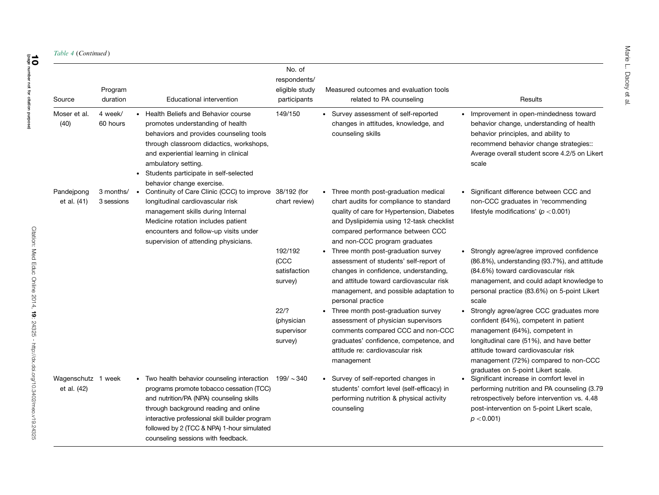| Source                            | Program<br>duration               | <b>Educational intervention</b>                                                                                                                                                                                                                                                                                   | No. of<br>respondents/<br>eligible study<br>participants | Measured outcomes and evaluation tools<br>related to PA counseling                                                                                                                                                                              | Results                                                                                                                                                                                                                                       |
|-----------------------------------|-----------------------------------|-------------------------------------------------------------------------------------------------------------------------------------------------------------------------------------------------------------------------------------------------------------------------------------------------------------------|----------------------------------------------------------|-------------------------------------------------------------------------------------------------------------------------------------------------------------------------------------------------------------------------------------------------|-----------------------------------------------------------------------------------------------------------------------------------------------------------------------------------------------------------------------------------------------|
| Moser et al.<br>(40)              | 4 week/<br>60 hours               | Health Beliefs and Behavior course<br>promotes understanding of health<br>behaviors and provides counseling tools<br>through classroom didactics, workshops,<br>and experiential learning in clinical<br>ambulatory setting.<br>Students participate in self-selected                                             | 149/150                                                  | • Survey assessment of self-reported<br>changes in attitudes, knowledge, and<br>counseling skills                                                                                                                                               | Improvement in open-mindedness toward<br>behavior change, understanding of health<br>behavior principles, and ability to<br>recommend behavior change strategies::<br>Average overall student score 4.2/5 on Likert<br>scale                  |
| Pandejpong<br>et al. (41)         | $3$ months/ $\cdot$<br>3 sessions | behavior change exercise.<br>Continuity of Care Clinic (CCC) to improve 38/192 (for<br>longitudinal cardiovascular risk<br>management skills during Internal<br>Medicine rotation includes patient<br>encounters and follow-up visits under<br>supervision of attending physicians.                               | chart review)                                            | • Three month post-graduation medical<br>chart audits for compliance to standard<br>quality of care for Hypertension, Diabetes<br>and Dyslipidemia using 12-task checklist<br>compared performance between CCC<br>and non-CCC program graduates | Significant difference between CCC and<br>$\bullet$<br>non-CCC graduates in 'recommending<br>lifestyle modifications' ( $p < 0.001$ )                                                                                                         |
|                                   |                                   |                                                                                                                                                                                                                                                                                                                   | 192/192<br>(CCC<br>satisfaction<br>survey)               | • Three month post-graduation survey<br>assessment of students' self-report of<br>changes in confidence, understanding,<br>and attitude toward cardiovascular risk<br>management, and possible adaptation to<br>personal practice               | Strongly agree/agree improved confidence<br>(86.8%), understanding (93.7%), and attitude<br>(84.6%) toward cardiovascular risk<br>management, and could adapt knowledge to<br>personal practice (83.6%) on 5-point Likert<br>scale            |
|                                   |                                   |                                                                                                                                                                                                                                                                                                                   | 22/?<br>(physician<br>supervisor<br>survey)              | • Three month post-graduation survey<br>assessment of physician supervisors<br>comments compared CCC and non-CCC<br>graduates' confidence, competence, and<br>attitude re: cardiovascular risk<br>management                                    | Strongly agree/agree CCC graduates more<br>confident (64%), competent in patient<br>management (64%), competent in<br>longitudinal care (51%), and have better<br>attitude toward cardiovascular risk<br>management (72%) compared to non-CCC |
| Wagenschutz 1 week<br>et al. (42) |                                   | Two health behavior counseling interaction<br>programs promote tobacco cessation (TCC)<br>and nutrition/PA (NPA) counseling skills<br>through background reading and online<br>interactive professional skill builder program<br>followed by 2 (TCC & NPA) 1-hour simulated<br>counseling sessions with feedback. | 199/ $\sim$ 340                                          | • Survey of self-reported changes in<br>students' comfort level (self-efficacy) in<br>performing nutrition & physical activity<br>counseling                                                                                                    | graduates on 5-point Likert scale.<br>Significant increase in comfort level in<br>performing nutrition and PA counseling (3.79<br>retrospectively before intervention vs. 4.48<br>post-intervention on 5-point Likert scale,<br>$p < 0.001$ ) |

Marie L. Dacey et al. Marie L. Dacey et al.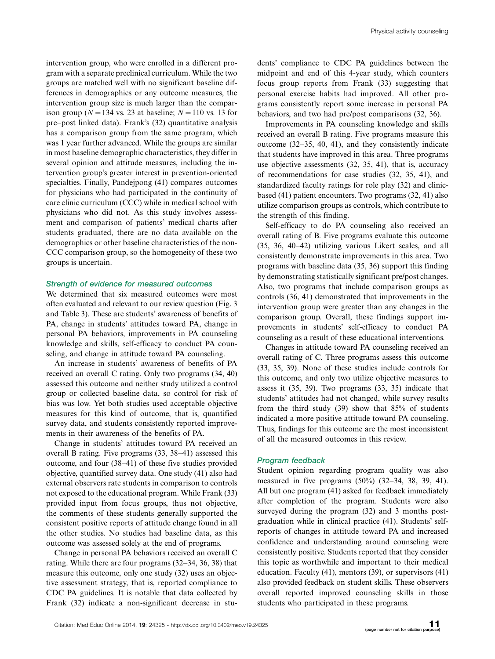intervention group, who were enrolled in a different program with a separate preclinical curriculum. While the two groups are matched well with no significant baseline differences in demographics or any outcome measures, the intervention group size is much larger than the comparison group ( $N=134$  vs. 23 at baseline;  $N=110$  vs. 13 for pre-post linked data). Frank's (32) quantitative analysis has a comparison group from the same program, which was 1 year further advanced. While the groups are similar in most baseline demographic characteristics, they differ in several opinion and attitude measures, including the intervention group's greater interest in prevention-oriented specialties. Finally, Pandejpong (41) compares outcomes for physicians who had participated in the continuity of care clinic curriculum (CCC) while in medical school with physicians who did not. As this study involves assessment and comparison of patients' medical charts after students graduated, there are no data available on the demographics or other baseline characteristics of the non-CCC comparison group, so the homogeneity of these two groups is uncertain.

#### Strength of evidence for measured outcomes

We determined that six measured outcomes were most often evaluated and relevant to our review question (Fig. 3 and Table 3). These are students' awareness of benefits of PA, change in students' attitudes toward PA, change in personal PA behaviors, improvements in PA counseling knowledge and skills, self-efficacy to conduct PA counseling, and change in attitude toward PA counseling.

An increase in students' awareness of benefits of PA received an overall C rating. Only two programs (34, 40) assessed this outcome and neither study utilized a control group or collected baseline data, so control for risk of bias was low. Yet both studies used acceptable objective measures for this kind of outcome, that is, quantified survey data, and students consistently reported improvements in their awareness of the benefits of PA.

Change in students' attitudes toward PA received an overall B rating. Five programs (33, 38-41) assessed this outcome, and four (38-41) of these five studies provided objective, quantified survey data. One study (41) also had external observers rate students in comparison to controls not exposed to the educational program. While Frank (33) provided input from focus groups, thus not objective, the comments of these students generally supported the consistent positive reports of attitude change found in all the other studies. No studies had baseline data, as this outcome was assessed solely at the end of programs.

Change in personal PA behaviors received an overall C rating. While there are four programs (32-34, 36, 38) that measure this outcome, only one study (32) uses an objective assessment strategy, that is, reported compliance to CDC PA guidelines. It is notable that data collected by Frank (32) indicate a non-significant decrease in students' compliance to CDC PA guidelines between the midpoint and end of this 4-year study, which counters focus group reports from Frank (33) suggesting that personal exercise habits had improved. All other programs consistently report some increase in personal PA behaviors, and two had pre/post comparisons (32, 36).

Improvements in PA counseling knowledge and skills received an overall B rating. Five programs measure this outcome (32-35, 40, 41), and they consistently indicate that students have improved in this area. Three programs use objective assessments (32, 35, 41), that is, accuracy of recommendations for case studies (32, 35, 41), and standardized faculty ratings for role play (32) and clinicbased (41) patient encounters. Two programs (32, 41) also utilize comparison groups as controls, which contribute to the strength of this finding.

Self-efficacy to do PA counseling also received an overall rating of B. Five programs evaluate this outcome (35, 36, 40-42) utilizing various Likert scales, and all consistently demonstrate improvements in this area. Two programs with baseline data (35, 36) support this finding by demonstrating statistically significant pre/post changes. Also, two programs that include comparison groups as controls (36, 41) demonstrated that improvements in the intervention group were greater than any changes in the comparison group. Overall, these findings support improvements in students' self-efficacy to conduct PA counseling as a result of these educational interventions.

Changes in attitude toward PA counseling received an overall rating of C. Three programs assess this outcome (33, 35, 39). None of these studies include controls for this outcome, and only two utilize objective measures to assess it (35, 39). Two programs (33, 35) indicate that students' attitudes had not changed, while survey results from the third study (39) show that 85% of students indicated a more positive attitude toward PA counseling. Thus, findings for this outcome are the most inconsistent of all the measured outcomes in this review.

#### Program feedback

Student opinion regarding program quality was also measured in five programs (50%) (32-34, 38, 39, 41). All but one program (41) asked for feedback immediately after completion of the program. Students were also surveyed during the program (32) and 3 months postgraduation while in clinical practice (41). Students' selfreports of changes in attitude toward PA and increased confidence and understanding around counseling were consistently positive. Students reported that they consider this topic as worthwhile and important to their medical education. Faculty (41), mentors (39), or supervisors (41) also provided feedback on student skills. These observers overall reported improved counseling skills in those students who participated in these programs.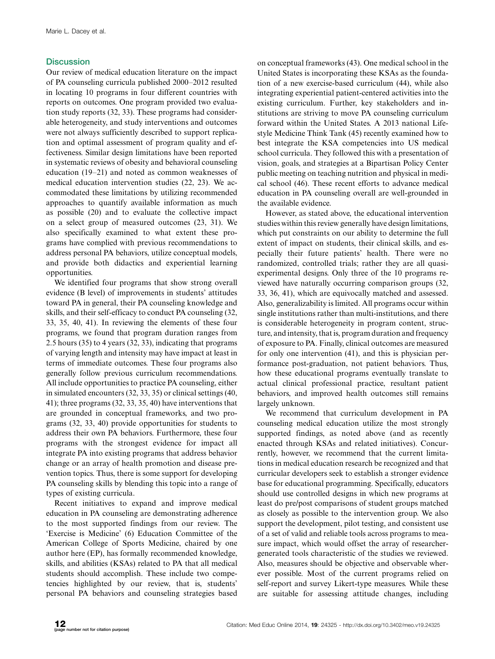#### **Discussion**

Our review of medical education literature on the impact of PA counseling curricula published 2000-2012 resulted in locating 10 programs in four different countries with reports on outcomes. One program provided two evaluation study reports (32, 33). These programs had considerable heterogeneity, and study interventions and outcomes were not always sufficiently described to support replication and optimal assessment of program quality and effectiveness. Similar design limitations have been reported in systematic reviews of obesity and behavioral counseling education (19-21) and noted as common weaknesses of medical education intervention studies (22, 23). We accommodated these limitations by utilizing recommended approaches to quantify available information as much as possible (20) and to evaluate the collective impact on a select group of measured outcomes (23, 31). We also specifically examined to what extent these programs have complied with previous recommendations to address personal PA behaviors, utilize conceptual models, and provide both didactics and experiential learning opportunities.

We identified four programs that show strong overall evidence (B level) of improvements in students' attitudes toward PA in general, their PA counseling knowledge and skills, and their self-efficacy to conduct PA counseling (32, 33, 35, 40, 41). In reviewing the elements of these four programs, we found that program duration ranges from 2.5 hours (35) to 4 years (32, 33), indicating that programs of varying length and intensity may have impact at least in terms of immediate outcomes. These four programs also generally follow previous curriculum recommendations. All include opportunities to practice PA counseling, either in simulated encounters (32, 33, 35) or clinical settings (40, 41); three programs (32, 33, 35, 40) have interventions that are grounded in conceptual frameworks, and two programs (32, 33, 40) provide opportunities for students to address their own PA behaviors. Furthermore, these four programs with the strongest evidence for impact all integrate PA into existing programs that address behavior change or an array of health promotion and disease prevention topics. Thus, there is some support for developing PA counseling skills by blending this topic into a range of types of existing curricula.

Recent initiatives to expand and improve medical education in PA counseling are demonstrating adherence to the most supported findings from our review. The 'Exercise is Medicine' (6) Education Committee of the American College of Sports Medicine, chaired by one author here (EP), has formally recommended knowledge, skills, and abilities (KSAs) related to PA that all medical students should accomplish. These include two competencies highlighted by our review, that is, students' personal PA behaviors and counseling strategies based

on conceptual frameworks (43). One medical school in the United States is incorporating these KSAs as the foundation of a new exercise-based curriculum (44), while also integrating experiential patient-centered activities into the existing curriculum. Further, key stakeholders and institutions are striving to move PA counseling curriculum forward within the United States. A 2013 national Lifestyle Medicine Think Tank (45) recently examined how to best integrate the KSA competencies into US medical school curricula. They followed this with a presentation of vision, goals, and strategies at a Bipartisan Policy Center public meeting on teaching nutrition and physical in medical school (46). These recent efforts to advance medical education in PA counseling overall are well-grounded in the available evidence.

However, as stated above, the educational intervention studies within this review generally have design limitations, which put constraints on our ability to determine the full extent of impact on students, their clinical skills, and especially their future patients' health. There were no randomized, controlled trials; rather they are all quasiexperimental designs. Only three of the 10 programs reviewed have naturally occurring comparison groups (32, 33, 36, 41), which are equivocally matched and assessed. Also, generalizability is limited. All programs occur within single institutions rather than multi-institutions, and there is considerable heterogeneity in program content, structure, and intensity, that is, program duration and frequency of exposure to PA. Finally, clinical outcomes are measured for only one intervention (41), and this is physician performance post-graduation, not patient behaviors. Thus, how these educational programs eventually translate to actual clinical professional practice, resultant patient behaviors, and improved health outcomes still remains largely unknown.

We recommend that curriculum development in PA counseling medical education utilize the most strongly supported findings, as noted above (and as recently enacted through KSAs and related initiatives). Concurrently, however, we recommend that the current limitations in medical education research be recognized and that curricular developers seek to establish a stronger evidence base for educational programming. Specifically, educators should use controlled designs in which new programs at least do pre/post comparisons of student groups matched as closely as possible to the intervention group. We also support the development, pilot testing, and consistent use of a set of valid and reliable tools across programs to measure impact, which would offset the array of researchergenerated tools characteristic of the studies we reviewed. Also, measures should be objective and observable wherever possible. Most of the current programs relied on self-report and survey Likert-type measures. While these are suitable for assessing attitude changes, including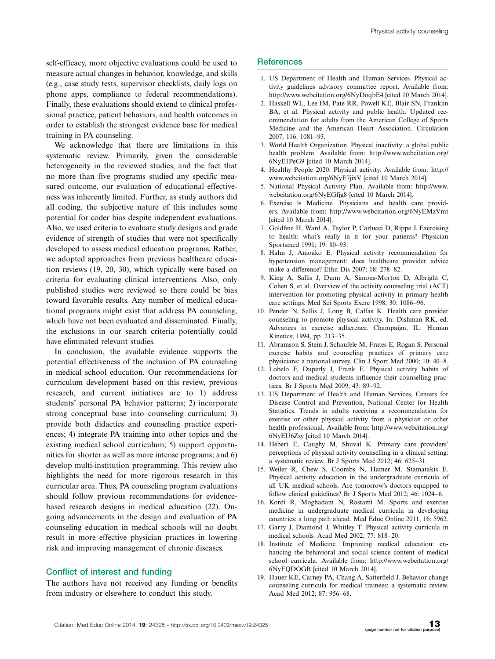self-efficacy, more objective evaluations could be used to measure actual changes in behavior, knowledge, and skills (e.g., case study tests, supervisor checklists, daily logs on phone apps, compliance to federal recommendations). Finally, these evaluations should extend to clinical professional practice, patient behaviors, and health outcomes in order to establish the strongest evidence base for medical training in PA counseling.

We acknowledge that there are limitations in this systematic review. Primarily, given the considerable heterogeneity in the reviewed studies, and the fact that no more than five programs studied any specific measured outcome, our evaluation of educational effectiveness was inherently limited. Further, as study authors did all coding, the subjective nature of this includes some potential for coder bias despite independent evaluations. Also, we used criteria to evaluate study designs and grade evidence of strength of studies that were not specifically developed to assess medical education programs. Rather, we adopted approaches from previous healthcare education reviews (19, 20, 30), which typically were based on criteria for evaluating clinical interventions. Also, only published studies were reviewed so there could be bias toward favorable results. Any number of medical educational programs might exist that address PA counseling, which have not been evaluated and disseminated. Finally, the exclusions in our search criteria potentially could have eliminated relevant studies.

In conclusion, the available evidence supports the potential effectiveness of the inclusion of PA counseling in medical school education. Our recommendations for curriculum development based on this review, previous research, and current initiatives are to 1) address students' personal PA behavior patterns; 2) incorporate strong conceptual base into counseling curriculum; 3) provide both didactics and counseling practice experiences; 4) integrate PA training into other topics and the existing medical school curriculum; 5) support opportunities for shorter as well as more intense programs; and 6) develop multi-institution programming. This review also highlights the need for more rigorous research in this curricular area. Thus, PA counseling program evaluations should follow previous recommendations for evidencebased research designs in medical education (22). Ongoing advancements in the design and evaluation of PA counseling education in medical schools will no doubt result in more effective physician practices in lowering risk and improving management of chronic diseases.

#### Conflict of interest and funding

The authors have not received any funding or benefits from industry or elsewhere to conduct this study.

#### **References**

- 1. US Department of Health and Human Services. Physical activity guidelines advisory committee report. Available from: <http://www.webcitation.org/6NyDoqbE4> [cited 10 March 2014].
- 2. Haskell WL, Lee IM, Pate RR, Powell KE, Blair SN, Franklin BA, et al. Physical activity and public health. Updated recommendation for adults from the American College of Sports Medicine and the American Heart Association. Circulation 2007; 116: 1081-93.
- 3. World Health Organization. Physical inactivity: a global public health problem. Available from: [http://www.webcitation.org/](http://www.webcitation.org/6NyE1PeG9) [6NyE1PeG9](http://www.webcitation.org/6NyE1PeG9) [cited 10 March 2014].
- 4. Healthy People 2020. Physical activity. Available from: [http://](http://www.webcitation.org/6NyE7jixV) [www.webcitation.org/6NyE7jixV](http://www.webcitation.org/6NyE7jixV) [cited 10 March 2014].
- 5. National Physical Activity Plan. Available from: [http://www.](http://www.webcitation.org/6NyEGfjg8) [webcitation.org/6NyEGfjg8](http://www.webcitation.org/6NyEGfjg8) [cited 10 March 2014].
- 6. Exercise is Medicine. Physicians and health care providers. Available from:<http://www.webcitation.org/6NyEMzVmt> [cited 10 March 2014].
- 7. Goldfine H, Ward A, Taylor P, Carlucci D, Rippe J. Exercising to health: what's really in it for your patients? Physician Sportsmed 1991; 19: 80-93.
- 8. Halm J, Amoako E. Physical activity recommendation for hypertension management: does healthcare provider advice make a difference? Ethn Dis 2007; 18: 278-82.
- 9. King A, Sallis J, Dunn A, Simons-Morton D, Albright C, Cohen S, et al. Overview of the activity counseling trial (ACT) intervention for promoting physical activity in primary health care settings. Med Sci Sports Exerc 1998; 30: 1086-96.
- 10. Pender N, Sallis J, Long B, Calfas K. Health care provider counseling to promote physical activity. In: Dishman RK, ed. Advances in exercise adherence. Champaign, IL: Human Kinetics; 1994, pp. 213-35.
- 11. Abramson S, Stein J, Schaufele M, Frates E, Rogan S. Personal exercise habits and counseling practices of primary care physicians: a national survey. Clin J Sport Med 2000; 10: 40-8.
- 12. Lobelo F, Duperly J, Frank E. Physical activity habits of doctors and medical students influence their counselling practices. Br J Sports Med 2009; 43: 89-92.
- 13. US Department of Health and Human Services, Centers for Disease Control and Prevention, National Center for Health Statistics. Trends in adults receiving a recommendation for exercise or other physical activity from a physician or other health professional. Available from: [http://www.webcitation.org/](http://www.webcitation.org/6NyEU6Zsy) [6NyEU6Zsy](http://www.webcitation.org/6NyEU6Zsy) [cited 10 March 2014].
- 14. Hébert E, Caughy M, Shuval K. Primary care providers' perceptions of physical activity counselling in a clinical setting: a systematic review. Br J Sports Med 2012; 46: 625-31.
- 15. Weiler R, Chew S, Coombs N, Hamer M, Stamatakis E. Physical activity education in the undergraduate curricula of all UK medical schools. Are tomorrow's doctors equipped to follow clinical guidelines? Br J Sports Med 2012; 46: 1024-6.
- 16. Kordi R, Moghadam N, Rostami M. Sports and exercise medicine in undergraduate medical curricula in developing countries: a long path ahead. Med Educ Online 2011; 16: 5962.
- 17. Garry J, Diamond J, Whitley T. Physical activity curricula in medical schools. Acad Med 2002; 77: 818-20.
- 18. Institute of Medicine. Improving medical education: enhancing the behavioral and social science content of medical school curricula. Available from: [http://www.webcitation.org/](http://www.webcitation.org/6NyFQDOGB) [6NyFQDOGB](http://www.webcitation.org/6NyFQDOGB) [cited 10 March 2014].
- 19. Hauer KE, Carney PA, Chang A, Satterfield J. Behavior change counseling curricula for medical trainees: a systematic review. Acad Med 2012; 87: 956-68.